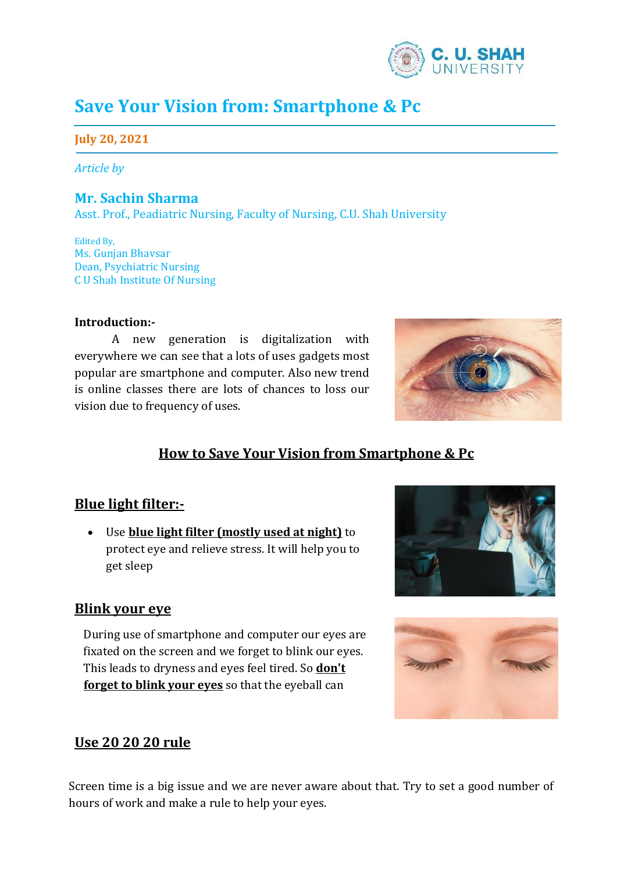

# **Save Your Vision from: Smartphone & Pc**

## **July 20, 2021**

*Article by* 

## **Mr. Sachin Sharma**

Asst. Prof., Peadiatric Nursing, Faculty of Nursing, C.U. Shah University

Edited By, Ms. Gunjan Bhavsar Dean, Psychiatric Nursing C U Shah Institute Of Nursing

#### **Introduction:-**

A new generation is digitalization with everywhere we can see that a lots of uses gadgets most popular are smartphone and computer. Also new trend is online classes there are lots of chances to loss our vision due to frequency of uses.



# **How to Save Your Vision from Smartphone & Pc**

#### **Blue light filter:-**

• Use **blue light filter (mostly used at night)** to protect eye and relieve stress. It will help you to get sleep

#### **Blink your eye**

During use of smartphone and computer our eyes are fixated on the screen and we forget to blink our eyes. This leads to dryness and eyes feel tired. So **don't forget to blink your eyes** so that the eyeball can





# **Use 20 20 20 rule**

become moist.

Screen time is a big issue and we are never aware about that. Try to set a good number of hours of work and make a rule to help your eyes.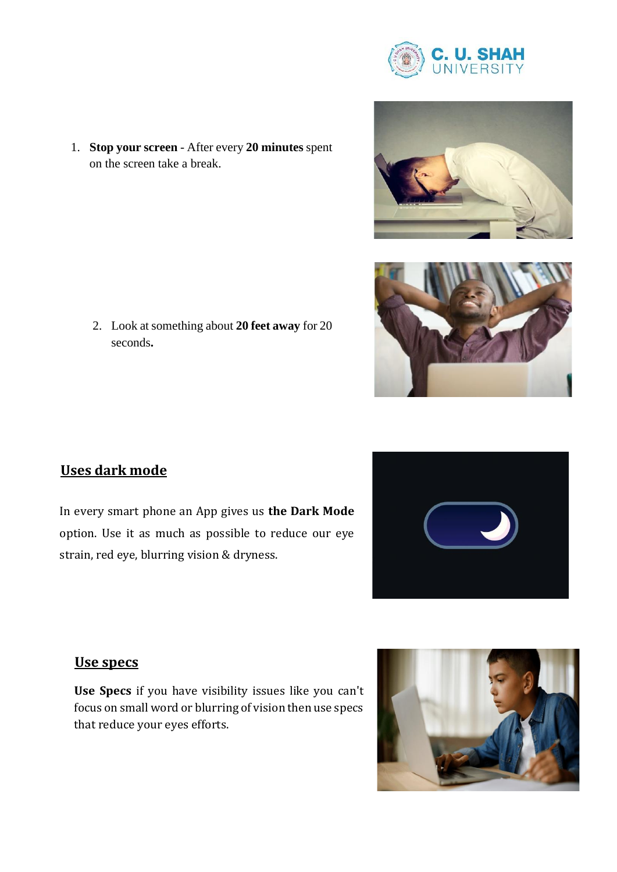





on the screen take a break.

1. **Stop your screen** - After every **20 minutes** spent

2. Look at something about **20 feet away** for 20 seconds**.**

# **Uses dark mode**

In every smart phone an App gives us **the Dark Mode** option. Use it as much as possible to reduce our eye strain, red eye, blurring vision & dryness.



# **Use specs**

**Use Specs** if you have visibility issues like you can't focus on small word or blurring of vision then use specs that reduce your eyes efforts.